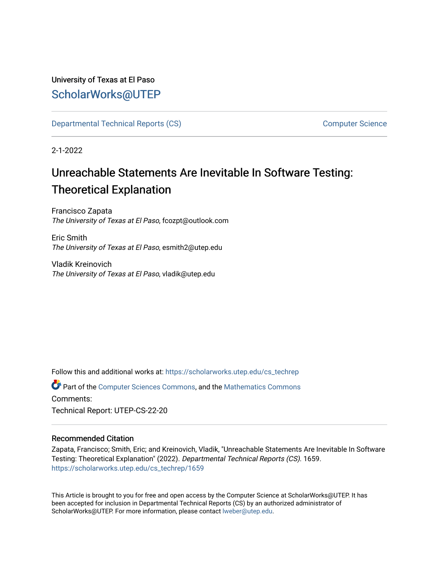University of Texas at El Paso [ScholarWorks@UTEP](https://scholarworks.utep.edu/)

[Departmental Technical Reports \(CS\)](https://scholarworks.utep.edu/cs_techrep) [Computer Science](https://scholarworks.utep.edu/computer) 

2-1-2022

# Unreachable Statements Are Inevitable In Software Testing: Theoretical Explanation

Francisco Zapata The University of Texas at El Paso, fcozpt@outlook.com

Eric Smith The University of Texas at El Paso, esmith2@utep.edu

Vladik Kreinovich The University of Texas at El Paso, vladik@utep.edu

Follow this and additional works at: [https://scholarworks.utep.edu/cs\\_techrep](https://scholarworks.utep.edu/cs_techrep?utm_source=scholarworks.utep.edu%2Fcs_techrep%2F1659&utm_medium=PDF&utm_campaign=PDFCoverPages) 

Part of the [Computer Sciences Commons](http://network.bepress.com/hgg/discipline/142?utm_source=scholarworks.utep.edu%2Fcs_techrep%2F1659&utm_medium=PDF&utm_campaign=PDFCoverPages), and the [Mathematics Commons](http://network.bepress.com/hgg/discipline/174?utm_source=scholarworks.utep.edu%2Fcs_techrep%2F1659&utm_medium=PDF&utm_campaign=PDFCoverPages)  Comments:

Technical Report: UTEP-CS-22-20

#### Recommended Citation

Zapata, Francisco; Smith, Eric; and Kreinovich, Vladik, "Unreachable Statements Are Inevitable In Software Testing: Theoretical Explanation" (2022). Departmental Technical Reports (CS). 1659. [https://scholarworks.utep.edu/cs\\_techrep/1659](https://scholarworks.utep.edu/cs_techrep/1659?utm_source=scholarworks.utep.edu%2Fcs_techrep%2F1659&utm_medium=PDF&utm_campaign=PDFCoverPages) 

This Article is brought to you for free and open access by the Computer Science at ScholarWorks@UTEP. It has been accepted for inclusion in Departmental Technical Reports (CS) by an authorized administrator of ScholarWorks@UTEP. For more information, please contact [lweber@utep.edu](mailto:lweber@utep.edu).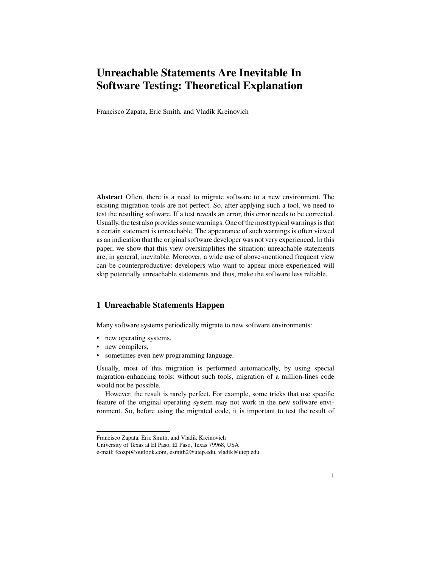## **Unreachable Statements Are Inevitable In Software Testing: Theoretical Explanation**

Francisco Zapata, Eric Smith, and Vladik Kreinovich

**Abstract** Often, there is a need to migrate software to a new environment. The existing migration tools are not perfect. So, after applying such a tool, we need to test the resulting software. If a test reveals an error, this error needs to be corrected. Usually, the test also provides some warnings. One of the most typical warnings is that a certain statement is unreachable. The appearance of such warnings is often viewed as an indication that the original software developer was not very experienced. In this paper, we show that this view oversimplifies the situation: unreachable statements are, in general, inevitable. Moreover, a wide use of above-mentioned frequent view can be counterproductive: developers who want to appear more experienced will skip potentially unreachable statements and thus, make the software less reliable.

#### **1 Unreachable Statements Happen**

Many software systems periodically migrate to new software environments:

- new operating systems,
- new compilers,
- sometimes even new programming language.

Usually, most of this migration is performed automatically, by using special migration-enhancing tools: without such tools, migration of a million-lines code would not be possible.

However, the result is rarely perfect. For example, some tricks that use specific feature of the original operating system may not work in the new software environment. So, before using the migrated code, it is important to test the result of

Francisco Zapata, Eric Smith, and Vladik Kreinovich

University of Texas at El Paso, El Paso, Texas 79968, USA

e-mail: fcozpt@outlook.com, esmith2@utep.edu, vladik@utep.edu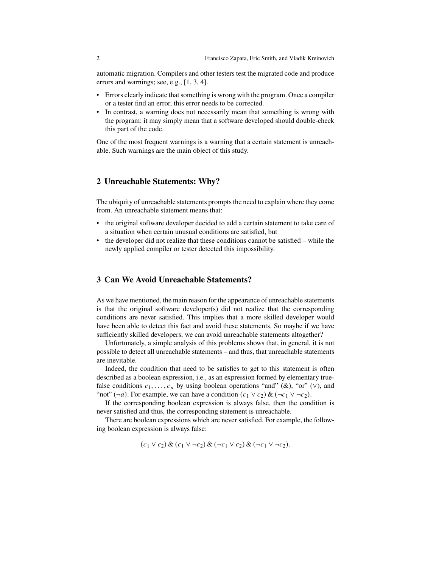automatic migration. Compilers and other testers test the migrated code and produce errors and warnings; see, e.g., [1, 3, 4].

- Errors clearly indicate that something is wrong with the program. Once a compiler or a tester find an error, this error needs to be corrected.
- In contrast, a warning does not necessarily mean that something is wrong with the program: it may simply mean that a software developed should double-check this part of the code.

One of the most frequent warnings is a warning that a certain statement is unreachable. Such warnings are the main object of this study.

#### **2 Unreachable Statements: Why?**

The ubiquity of unreachable statements prompts the need to explain where they come from. An unreachable statement means that:

- the original software developer decided to add a certain statement to take care of a situation when certain unusual conditions are satisfied, but
- the developer did not realize that these conditions cannot be satisfied while the newly applied compiler or tester detected this impossibility.

#### **3 Can We Avoid Unreachable Statements?**

As we have mentioned, the main reason for the appearance of unreachable statements is that the original software developer(s) did not realize that the corresponding conditions are never satisfied. This implies that a more skilled developer would have been able to detect this fact and avoid these statements. So maybe if we have sufficiently skilled developers, we can avoid unreachable statements altogether?

Unfortunately, a simple analysis of this problems shows that, in general, it is not possible to detect all unreachable statements – and thus, that unreachable statements are inevitable.

Indeed, the condition that need to be satisfies to get to this statement is often described as a boolean expression, i.e., as an expression formed by elementary truefalse conditions  $c_1, \ldots, c_n$  by using boolean operations "and" (&), "or" (∨), and "not" (¬*a*). For example, we can have a condition  $(c_1 \vee c_2) \& (\neg c_1 \vee \neg c_2)$ .

If the corresponding boolean expression is always false, then the condition is never satisfied and thus, the corresponding statement is unreachable.

There are boolean expressions which are never satisfied. For example, the following boolean expression is always false:

$$
(c_1 \vee c_2) \& (c_1 \vee \neg c_2) \& (\neg c_1 \vee c_2) \& (\neg c_1 \vee \neg c_2).
$$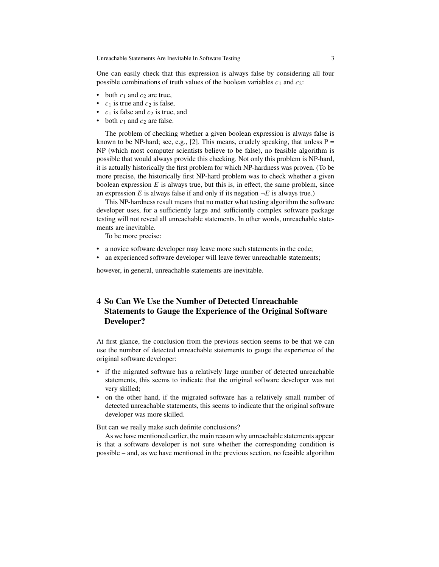One can easily check that this expression is always false by considering all four possible combinations of truth values of the boolean variables  $c_1$  and  $c_2$ :

- both  $c_1$  and  $c_2$  are true,
- $c_1$  is true and  $c_2$  is false,
- $c_1$  is false and  $c_2$  is true, and
- both  $c_1$  and  $c_2$  are false.

The problem of checking whether a given boolean expression is always false is known to be NP-hard; see, e.g., [2]. This means, crudely speaking, that unless  $P =$ NP (which most computer scientists believe to be false), no feasible algorithm is possible that would always provide this checking. Not only this problem is NP-hard, it is actually historically the first problem for which NP-hardness was proven. (To be more precise, the historically first NP-hard problem was to check whether a given boolean expression  $E$  is always true, but this is, in effect, the same problem, since an expression E is always false if and only if its negation  $\neg E$  is always true.)

This NP-hardness result means that no matter what testing algorithm the software developer uses, for a sufficiently large and sufficiently complex software package testing will not reveal all unreachable statements. In other words, unreachable statements are inevitable.

To be more precise:

- a novice software developer may leave more such statements in the code;
- an experienced software developer will leave fewer unreachable statements;

however, in general, unreachable statements are inevitable.

### **4 So Can We Use the Number of Detected Unreachable Statements to Gauge the Experience of the Original Software Developer?**

At first glance, the conclusion from the previous section seems to be that we can use the number of detected unreachable statements to gauge the experience of the original software developer:

- if the migrated software has a relatively large number of detected unreachable statements, this seems to indicate that the original software developer was not very skilled;
- on the other hand, if the migrated software has a relatively small number of detected unreachable statements, this seems to indicate that the original software developer was more skilled.

But can we really make such definite conclusions?

As we have mentioned earlier, the main reason why unreachable statements appear is that a software developer is not sure whether the corresponding condition is possible – and, as we have mentioned in the previous section, no feasible algorithm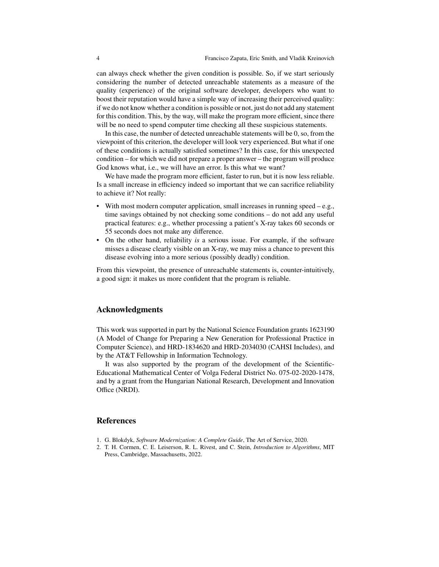can always check whether the given condition is possible. So, if we start seriously considering the number of detected unreachable statements as a measure of the quality (experience) of the original software developer, developers who want to boost their reputation would have a simple way of increasing their perceived quality: if we do not know whether a condition is possible or not, just do not add any statement for this condition. This, by the way, will make the program more efficient, since there will be no need to spend computer time checking all these suspicious statements.

In this case, the number of detected unreachable statements will be 0, so, from the viewpoint of this criterion, the developer will look very experienced. But what if one of these conditions is actually satisfied sometimes? In this case, for this unexpected condition – for which we did not prepare a proper answer – the program will produce God knows what, i.e., we will have an error. Is this what we want?

We have made the program more efficient, faster to run, but it is now less reliable. Is a small increase in efficiency indeed so important that we can sacrifice reliability to achieve it? Not really:

- With most modern computer application, small increases in running speed e.g., time savings obtained by not checking some conditions – do not add any useful practical features: e.g., whether processing a patient's X-ray takes 60 seconds or 55 seconds does not make any difference.
- On the other hand, reliability *is* a serious issue. For example, if the software misses a disease clearly visible on an X-ray, we may miss a chance to prevent this disease evolving into a more serious (possibly deadly) condition.

From this viewpoint, the presence of unreachable statements is, counter-intuitively, a good sign: it makes us more confident that the program is reliable.

#### **Acknowledgments**

This work was supported in part by the National Science Foundation grants 1623190 (A Model of Change for Preparing a New Generation for Professional Practice in Computer Science), and HRD-1834620 and HRD-2034030 (CAHSI Includes), and by the AT&T Fellowship in Information Technology.

It was also supported by the program of the development of the Scientific-Educational Mathematical Center of Volga Federal District No. 075-02-2020-1478, and by a grant from the Hungarian National Research, Development and Innovation Office (NRDI).

#### **References**

- 1. G. Blokdyk, *Software Modernization: A Complete Guide*, The Art of Service, 2020.
- 2. T. H. Cormen, C. E. Leiserson, R. L. Rivest, and C. Stein, *Introduction to Algorithms*, MIT Press, Cambridge, Massachusetts, 2022.